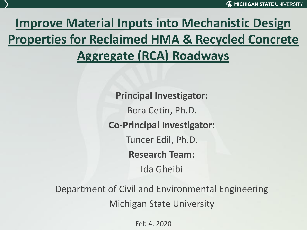## **Improve Material Inputs into Mechanistic Design Properties for Reclaimed HMA & Recycled Concrete Aggregate (RCA) Roadways**

**Principal Investigator:** Bora Cetin, Ph.D. **Co-Principal Investigator:** Tuncer Edil, Ph.D. **Research Team:** Ida Gheibi

Department of Civil and Environmental Engineering Michigan State University

Feb 4, 2020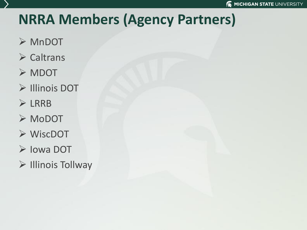## **NRRA Members (Agency Partners)**

- ➢ MnDOT
- ➢ Caltrans
- ➢ MDOT
- ➢ Illinois DOT
- ➢ LRRB
- ➢ MoDOT
- ➢ WiscDOT
- ➢ Iowa DOT
- ➢ Illinois Tollway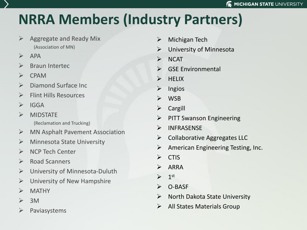## **NRRA Members (Industry Partners)**

- $\triangleright$  Aggregate and Ready Mix (Association of MN)
- $\triangleright$  APA
- ➢ Braun Intertec
- ➢ CPAM
- ➢ Diamond Surface Inc
- $\triangleright$  Flint Hills Resources
- $\triangleright$  IGGA
- ➢ MIDSTATE (Reclamation and Trucking)
- $\triangleright$  MN Asphalt Pavement Association
- ➢ Minnesota State University
- ➢ NCP Tech Center
- ➢ Road Scanners
- ➢ University of Minnesota-Duluth
- $\triangleright$  University of New Hampshire
- ➢ MATHY
- $> 3M$
- $\triangleright$  Paviasystems
- ➢ Michigan Tech
- $\triangleright$  University of Minnesota
- ➢ NCAT
- ➢ GSE Environmental
- ➢ HELIX
- ➢ Ingios
- ➢ WSB
- ➢ Cargill
- ➢ PITT Swanson Engineering
- ➢ INFRASENSE
- $\triangleright$  Collaborative Aggregates LLC
- $\triangleright$  American Engineering Testing, Inc.
- ➢ CTIS
- ➢ ARRA
- $\blacktriangleright$  $1<sup>st</sup>$
- ➢ O-BASF
- $\triangleright$  North Dakota State University
- ➢ All States Materials Group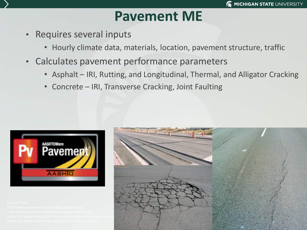## **P[avement](http://www.aashtoware.org/Pavement) ME**

- Requires several inputs
	- Hourly climate data, materials, location, pavement structure, traffic
- Calculates pavement performance parameters
	- Asphalt IRI, Rutting, and Longitudinal, Thermal, and Alligator Cracking
	- Concrete IRI, Transverse Cracking, Joint Faulting



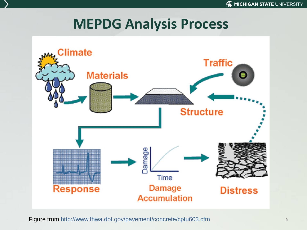## **MEPDG Analysis Process**



Figure from http://www.fhwa.dot.gov/pavement/concrete/cptu603.cfm 5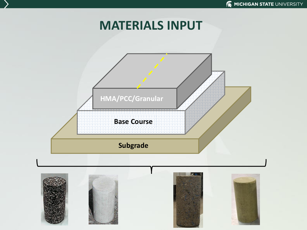## **MATERIALS INPUT**

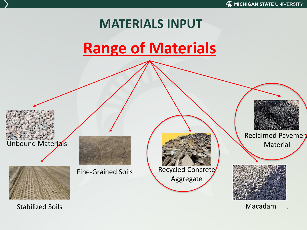## **MATERIALS INPUT**

# **Range of Materials**

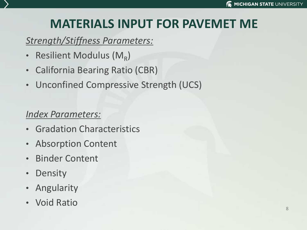## **MATERIALS INPUT FOR PAVEMET ME**

#### *Strength/Stiffness Parameters:*

- Resilient Modulus ( $M_R$ )
- California Bearing Ratio (CBR)
- Unconfined Compressive Strength (UCS)

#### *Index Parameters:*

- Gradation Characteristics
- Absorption Content
- Binder Content
- Density
- Angularity
- Void Ratio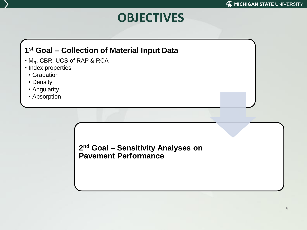## **OBJECTIVES**

#### **1 st Goal – Collection of Material Input Data**

- $\cdot$  M<sub>R</sub>, CBR, UCS of RAP & RCA
- Index properties
	- Gradation
	- Density
	- Angularity
	- Absorption

**2 nd Goal – Sensitivity Analyses on Pavement Performance**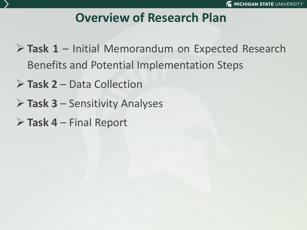## **Overview of Research Plan**

- ➢ **Task 1** Initial Memorandum on Expected Research Benefits and Potential Implementation Steps
- ➢ **Task 2** Data Collection
- ➢ **Task 3** Sensitivity Analyses
- ➢ **Task 4** Final Report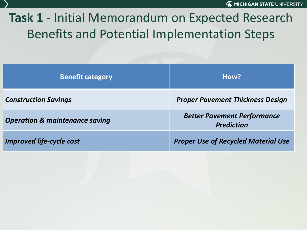## **Task 1 -** Initial Memorandum on Expected Research Benefits and Potential Implementation Steps

| <b>Benefit category</b>                   | How?                                                    |
|-------------------------------------------|---------------------------------------------------------|
| <b>Construction Savings</b>               | <b>Proper Pavement Thickness Design</b>                 |
| <b>Operation &amp; maintenance saving</b> | <b>Better Pavement Performance</b><br><b>Prediction</b> |
| <b>Improved life-cycle cost</b>           | <b>Proper Use of Recycled Material Use</b>              |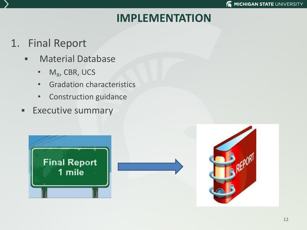#### **IMPLEMENTATION**

## 1. Final Report

- **E** Material Database
	- M<sub>R</sub>, CBR, UCS
	- Gradation characteristics
	- Construction guidance
- **Executive summary**





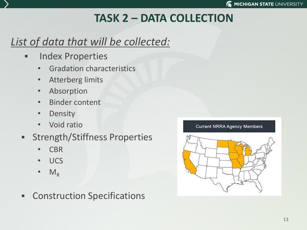## **TASK 2 – DATA COLLECTION**

## *List of data that will be collected:*

- Index Properties
	- Gradation characteristics
	- Atterberg limits
	- Absorption
	- Binder content
	- Density
	- Void ratio
- **EXECUTE: Strength/Stiffness Properties** 
	- CBR
	- UCS
	- $M_R$
- **EXECONSTRUCTION Specifications**



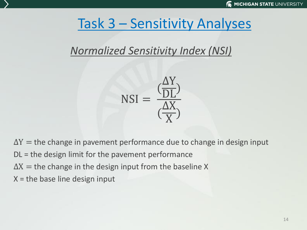## Task 3 – Sensitivity Analyses

## *Normalized Sensitivity Index (NSI)*



 $\Delta Y$  = the change in pavement performance due to change in design input

- DL = the design limit for the pavement performance
- $\Delta X$  = the change in the design input from the baseline X
- $X =$  the base line design input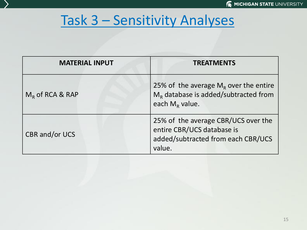## Task 3 – Sensitivity Analyses

| <b>MATERIAL INPUT</b> | <b>TREATMENTS</b>                                                                                                 |  |  |  |  |
|-----------------------|-------------------------------------------------------------------------------------------------------------------|--|--|--|--|
| $M_R$ of RCA & RAP    | 25% of the average $M_R$ over the entire<br>$M_R$ database is added/subtracted from<br>each $M_R$ value.          |  |  |  |  |
| CBR and/or UCS        | 25% of the average CBR/UCS over the<br>entire CBR/UCS database is<br>added/subtracted from each CBR/UCS<br>value. |  |  |  |  |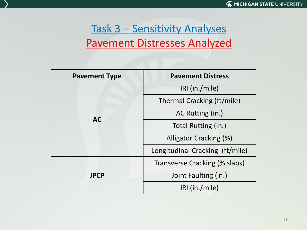## Task 3 – Sensitivity Analyses Pavement Distresses Analyzed

| <b>Pavement Type</b> | <b>Pavement Distress</b>        |  |  |  |
|----------------------|---------------------------------|--|--|--|
| <b>AC</b>            | IRI (in./mile)                  |  |  |  |
|                      | Thermal Cracking (ft/mile)      |  |  |  |
|                      | AC Rutting (in.)                |  |  |  |
|                      | Total Rutting (in.)             |  |  |  |
|                      | Alligator Cracking (%)          |  |  |  |
|                      | Longitudinal Cracking (ft/mile) |  |  |  |
| <b>JPCP</b>          | Transverse Cracking (% slabs)   |  |  |  |
|                      | Joint Faulting (in.)            |  |  |  |
|                      | IRI (in./mile)                  |  |  |  |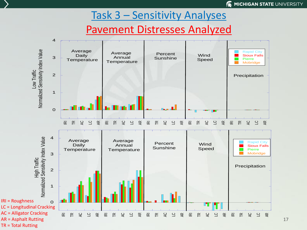#### **K MICHIGAN STATE UNIVERSITY**

#### Task 3 – Sensitivity Analyses

#### Pavement Distresses Analyzed



17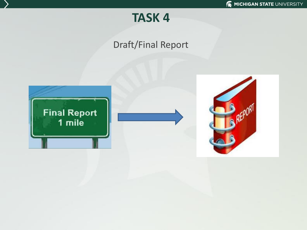

#### Draft/Final Report



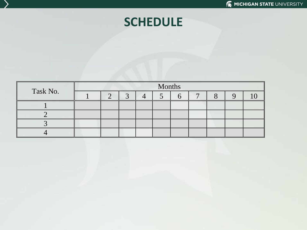## **SCHEDULE**

| Task No. | Months |  |  |  |  |  |  |  |  |
|----------|--------|--|--|--|--|--|--|--|--|
|          |        |  |  |  |  |  |  |  |  |
|          |        |  |  |  |  |  |  |  |  |
|          |        |  |  |  |  |  |  |  |  |
|          |        |  |  |  |  |  |  |  |  |
|          |        |  |  |  |  |  |  |  |  |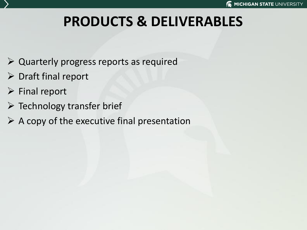# **PRODUCTS & DELIVERABLES**

- ➢ Quarterly progress reports as required
- $\triangleright$  Draft final report
- ➢ Final report
- $\triangleright$  Technology transfer brief
- $\triangleright$  A copy of the executive final presentation